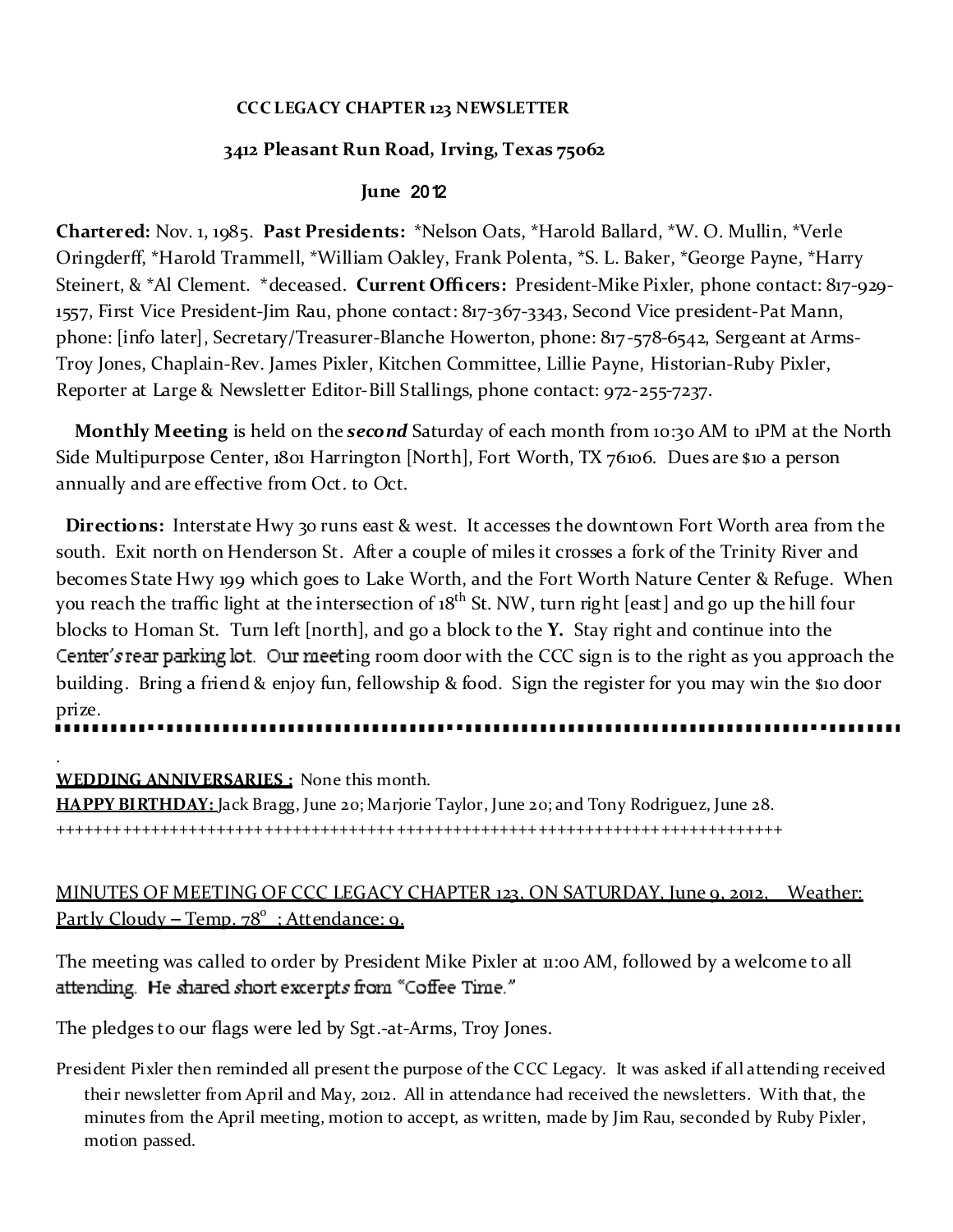### **CCC LEGACY CHAPTER 123 NEWSLETTER**

### **3412 Pleasant Run Road, Irving, Texas 75062**

### **June** 2012

**Chartered:** Nov. 1, 1985. **Past Presidents:** \*Nelson Oats, \*Harold Ballard, \*W. O. Mullin, \*Verle Oringderff, \*Harold Trammell, \*William Oakley, Frank Polenta, \*S. L. Baker, \*George Payne, \*Harry Steinert, & \*Al Clement. \*deceased. **Current Officers:** President-Mike Pixler, phone contact: 817-929- 1557, First Vice President-Jim Rau, phone contact: 817-367-3343, Second Vice president-Pat Mann, phone: [info later], Secretary/Treasurer-Blanche Howerton, phone: 817-578-6542, Sergeant at Arms-Troy Jones, Chaplain-Rev. James Pixler, Kitchen Committee, Lillie Payne, Historian-Ruby Pixler, Reporter at Large & Newsletter Editor-Bill Stallings, phone contact: 972-255-7237.

**Monthly Meeting** is held on the *second* Saturday of each month from 10:30 AM to 1PM at the North Side Multipurpose Center, 1801 Harrington [North], Fort Worth, TX 76106. Dues are \$10 a person annually and are effective from Oct. to Oct.

**Directions:** Interstate Hwy 30 runs east & west. It accesses the downtown Fort Worth area from the south. Exit north on Henderson St. After a couple of miles it crosses a fork of the Trinity River and becomes State Hwy 199 which goes to Lake Worth, and the Fort Worth Nature Center & Refuge. When you reach the traffic light at the intersection of 18<sup>th</sup> St. NW, turn right [east] and go up the hill four blocks to Homan St. Turn left [north], and go a block to the **Y.** Stay right and continue into the Center's rear parking  $\cot$ . Our meeting room door with the CCC sign is to the right as you approach the building. Bring a friend & enjoy fun, fellowship & food. Sign the register for you may win the \$10 door prize.

. **WEDDING ANNIVERSARIES :** None this month. **HAPPY BIRTHDAY:** Jack Bragg, June 20; Marjorie Taylor, June 20; and Tony Rodriguez, June 28.

+++++++++++++++++++++++++++++++++++++++++++++++++++++++++++++++++++++++++++++

# MINUTES OF MEETING OF CCC LEGACY CHAPTER 123, ON SATURDAY, June 9, 2012, Weather: Partly Cloudy – Temp. 78<sup>°</sup>: Attendance: 9.

The meeting was called to order by President Mike Pixler at 11:00 AM, followed by a welcome to all attending. He shared short excerpts from "Coffee Time."

The pledges to our flags were led by Sgt.-at-Arms, Troy Jones.

President Pixler then reminded all present the purpose of the CCC Legacy. It was asked if all attending received their newsletter from April and May, 2012. All in attendance had received the newsletters. With that, the minutes from the April meeting, motion to accept, as written, made by Jim Rau, seconded by Ruby Pixler, motion passed.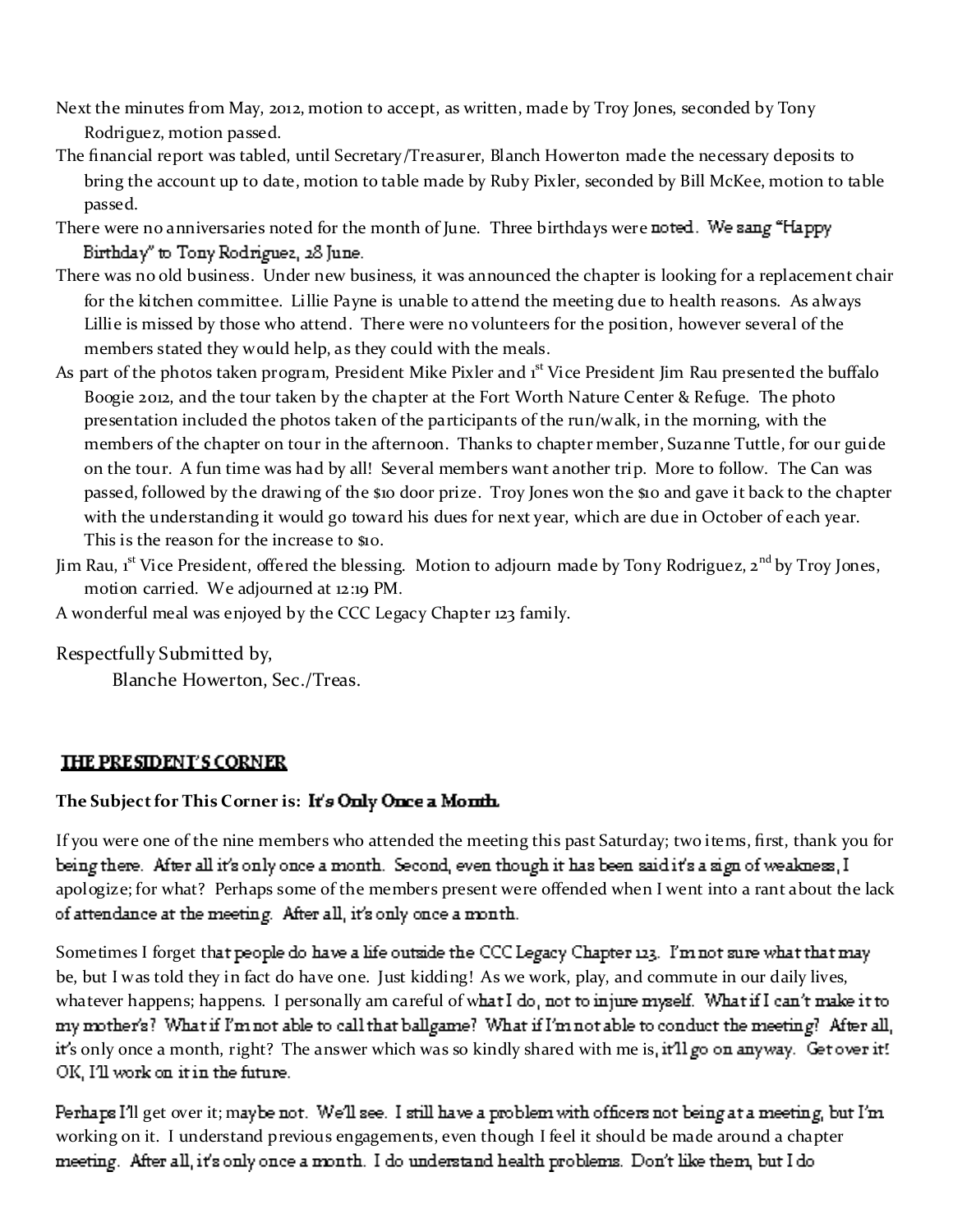- Next the minutes from May, 2012, motion to accept, as written, made by Troy Jones, seconded by Tony Rodriguez, motion passed.
- The financial report was tabled, until Secretary/Treasurer, Blanch Howerton made the necessary deposits to bring the account up to date, motion to table made by Ruby Pixler, seconded by Bill McKee, motion to table passed.
- There were no anniversaries noted for the month of June. Three birthdays were noted. We sang "Happy Birthday" to Tony Rodriguez, 28 June.
- There was no old business. Under new business, it was announced the chapter is looking for a replacement chair for the kitchen committee. Lillie Payne is unable to attend the meeting due to health reasons. As always Lillie is missed by those who attend. There were no volunteers for the position, however several of the members stated they would help, as they could with the meals.
- As part of the photos taken program, President Mike Pixler and 1<sup>st</sup> Vice President Jim Rau presented the buffalo Boogie 2012, and the tour taken by the chapter at the Fort Worth Nature Center & Refuge. The photo presentation included the photos taken of the participants of the run/walk, in the morning, with the members of the chapter on tour in the afternoon. Thanks to chapter member, Suzanne Tuttle, for our guide on the tour. A fun time was had by all! Several members want another trip. More to follow. The Can was passed, followed by the drawing of the \$10 door prize. Troy Jones won the \$10 and gave it back to the chapter with the understanding it would go toward his dues for next year, which are due in October of each year. This is the reason for the increase to \$10.
- Jim Rau, 1<sup>st</sup> Vice President, offered the blessing. Motion to adjourn made by Tony Rodriguez, 2<sup>nd</sup> by Troy Jones, motion carried. We adjourned at 12:19 PM.

A wonderful meal was enjoyed by the CCC Legacy Chapter 123 family.

Respectfully Submitted by,

Blanche Howerton, Sec./Treas.

### **THE PRESIDENT'S CORNER**

### **The Sub ject for This Corner is:**

If you were one of the nine members who attended the meeting this past Saturday; two items, first, thank you for being there. After all it's only once a month. Second, even though it has been said it's a sign of weakness, I apologize; for what? Perhaps some of the members present were offended when I went into a rant about the lack of attendance at the meeting. After all, it's only once a month.

Sometimes I forget that people do have a life outside the CCC Legacy Chapter 123. I'm not sure what that may be, but I was told they in fact do have one. Just kidding! As we work, play, and commute in our daily lives, whatever happens; happens. I personally am careful of what I do, not to injure myself. What if I can't make it to my mother's? What if I'm not able to call that ballgame? What if I'm not able to conduct the meeting? After all, it's only once a month, right? The answer which was so kindly shared with me is, it'll go on anyway. Get over it! OK, I'll work on it in the future.

Perhaps I'll get over it; maybe not. We'll see. I still have a problem with officers not being at a meeting, but I'm working on it. I understand previous engagements, even though I feel it should be made around a chaptermeeting. After all, it's only once a month. I do understand health problems. Don't like them, but I do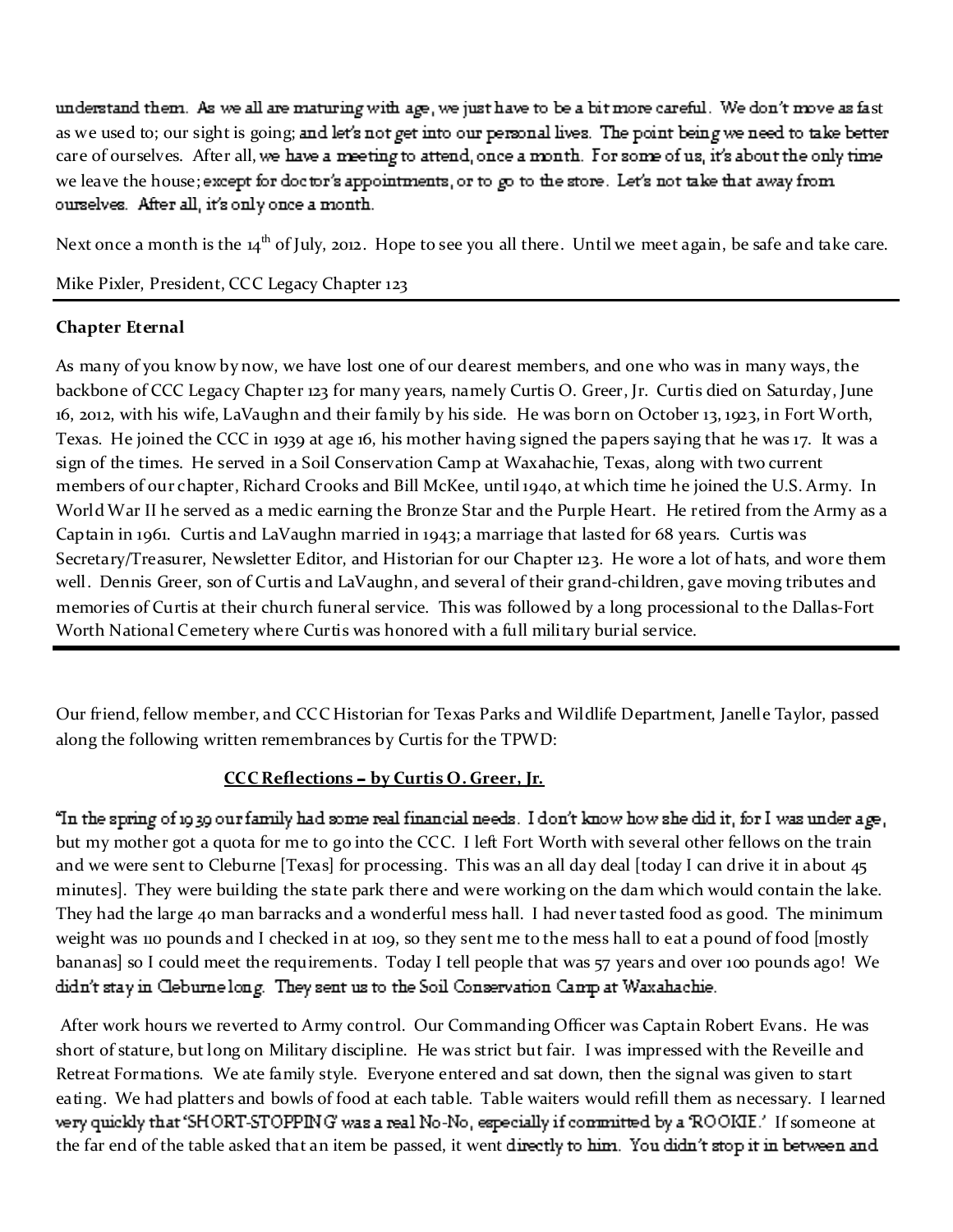understand them. As we all are maturing with age, we just have to be a bit more careful. We don't move as fast as we used to; our sight is going; and let's not get into our personal lives. The point being we need to take better care of ourselves. After all, we have a meeting to attend, once a month. For some of us, it's about the only time we leave the house; except for doctor's appointments, or to go to the store. Let's not take that away from ourselves. After all, it's only once a month.

Next once a month is the 14<sup>th</sup> of July, 2012. Hope to see you all there. Until we meet again, be safe and take care.

Mike Pixler, President, CCC Legacy Chapter 123

# **Chapter Eternal**

As many of you know by now, we have lost one of our dearest members, and one who was in many ways, the backbone of CCC Legacy Chapter 123 for many years, namely Curtis O. Greer, Jr. Curtis died on Saturday, June 16, 2012, with his wife, LaVaughn and their family by his side. He was born on October 13, 1923, in Fort Worth, Texas. He joined the CCC in 1939 at age 16, his mother having signed the papers saying that he was 17. It was a sign of the times. He served in a Soil Conservation Camp at Waxahachie, Texas, along with two current members of our chapter, Richard Crooks and Bill McKee, until 1940, at which time he joined the U.S. Army. In World War II he served as a medic earning the Bronze Star and the Purple Heart. He retired from the Army as a Captain in 1961. Curtis and LaVaughn married in 1943; a marriage that lasted for 68 years. Curtis was Secretary/Treasurer, Newsletter Editor, and Historian for our Chapter 123. He wore a lot of hats, and wore them well. Dennis Greer, son of Curtis and LaVaughn, and several of their grand-children, gave moving tributes and memories of Curtis at their church funeral service. This was followed by a long processional to the Dallas-Fort Worth National Cemetery where Curtis was honored with a full military burial service.

Our friend, fellow member, and CCC Historian for Texas Parks and Wildlife Department, Janelle Taylor, passed along the following written remembrances by Curtis for the TPWD:

# **CCC** Reflections - by Curtis O. Greer, Jr.

"In the spring of 1939 our family had some real financial needs. I don't know how she did it, for I was under age, but my mother got a quota for me to go into the CCC. I left Fort Worth with several other fellows on the train and we were sent to Cleburne [Texas] for processing. This was an all day deal [today I can drive it in about 45 minutes]. They were building the state park there and were working on the dam which would contain the lake. They had the large 40 man barracks and a wonderful mess hall. I had never tasted food as good. The minimum weight was 110 pounds and I checked in at 109, so they sent me to the mess hall to eat a pound of food [mostly bananas] so I could meet the requirements. Today I tell people that was 57 years and over 100 pounds ago! We didn't stay in Cleburne long. They sent us to the Soil Conservation Camp at Waxahachie.

After work hours we reverted to Army control. Our Commanding Officer was Captain Robert Evans. He was short of stature, but long on Military discipline. He was strict but fair. I was impressed with the Reveille and Retreat Formations. We ate family style. Everyone entered and sat down, then the signal was given to start eating. We had platters and bowls of food at each table. Table waiters would refill them as necessary. I learned very quickly that 'SHORT-STOPPING' was a real No-No, especially if conmutted by a ROOKIE.' If someone at the far end of the table asked that an item be passed, it went directly to him. You didn't stop it in between and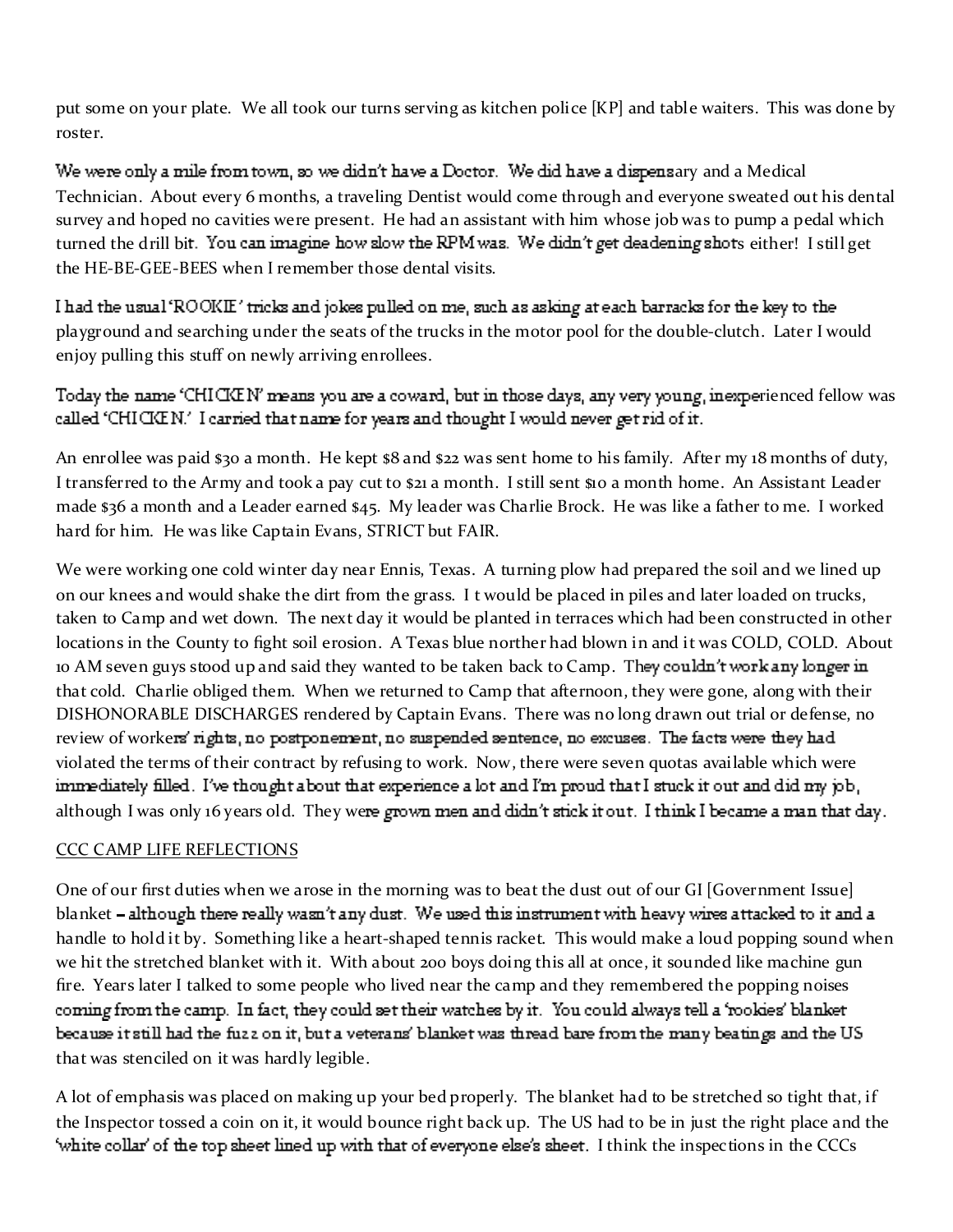put some on your plate. We all took our turns serving as kitchen police [KP] and table waiters. This was done by roster.

We were only a mile from town, so we didn't have a Doctor. We did have a dispensary and a Medical Technician. About every 6 months, a traveling Dentist would come through and everyone sweated out his dental survey and hoped no cavities were present. He had an assistant with him whose job was to pump a pedal which turned the drill bit. You can imagine how slow the RPM was. We didn't get deadening shots either! I still get the HE-BE-GEE-BEES when I remember those dental visits.

I had the usual 'ROOKIE' tricks and jokes pulled on me, such as asking at each barracks for the key to the playground and searching under the seats of the trucks in the motor pool for the double-clutch. Later I would enjoy pulling this stuff on newly arriving enrollees.

Today the name 'CHICICIN' means you are a coward, but in those days, any very young, inexperienced fellow was called 'CHICICIN.' I carried that name for years and thought I would never get rid of it.

An enrollee was paid \$30 a month. He kept \$8 and \$22 was sent home to his family. After my 18 months of duty, I transferred to the Army and took a pay cut to \$21 a month. I still sent \$10 a month home. An Assistant Leader made \$36 a month and a Leader earned \$45. My leader was Charlie Brock. He was like a father to me. I worked hard for him. He was like Captain Evans, STRICT but FAIR.

We were working one cold winter day near Ennis, Texas. A turning plow had prepared the soil and we lined up on our knees and would shake the dirt from the grass. I t would be placed in piles and later loaded on trucks, taken to Camp and wet down. The next day it would be planted in terraces which had been constructed in other locations in the County to fight soil erosion. A Texas blue norther had blown in and it was COLD, COLD. About 10 AM seven guys stood up and said they wanted to be taken back to Camp. They couldn't work any longer in that cold. Charlie obliged them. When we returned to Camp that afternoon, they were gone, along with their DISHONORABLE DISCHARGES rendered by Captain Evans. There was no long drawn out trial or defense, no review of workers' rights, no postponement, no suspended sentence, no excuses. The facts were they had violated the terms of their contract by refusing to work. Now, there were seven quotas available which were immediately filled. I've thought about that experience a lot and I'm proud that I stuck it out and did my job, although I was only 16 years old. They were grown men and didn't stick it out. I think I became a man that day.

### CCC CAMP LIFE REFLECTIONS

One of our first duties when we arose in the morning was to beat the dust out of our GI [Government Issue] blanket - although there really wasn't any dust. We used this instrument with heavy wires attacked to it and a handle to hold it by. Something like a heart-shaped tennis racket. This would make a loud popping sound when we hit the stretched blanket with it. With about 200 boys doing this all at once, it sounded like machine gun fire. Years later I talked to some people who lived near the camp and they remembered the popping noises coming from the camp. In fact, they could set their watches by it. You could always tell a 'rookies' blanket because it still had the fuzz on it, but a veterans' blanket was thread bare from the many beatings and the US that was stenciled on it was hardly legible.

A lot of emphasis was placed on making up your bed properly. The blanket had to be stretched so tight that, if the Inspector tossed a coin on it, it would bounce right back up. The US had to be in just the right place and the 'white collar' of the top sheet lined up with that of everyone else's sheet. I think the inspections in the CCCs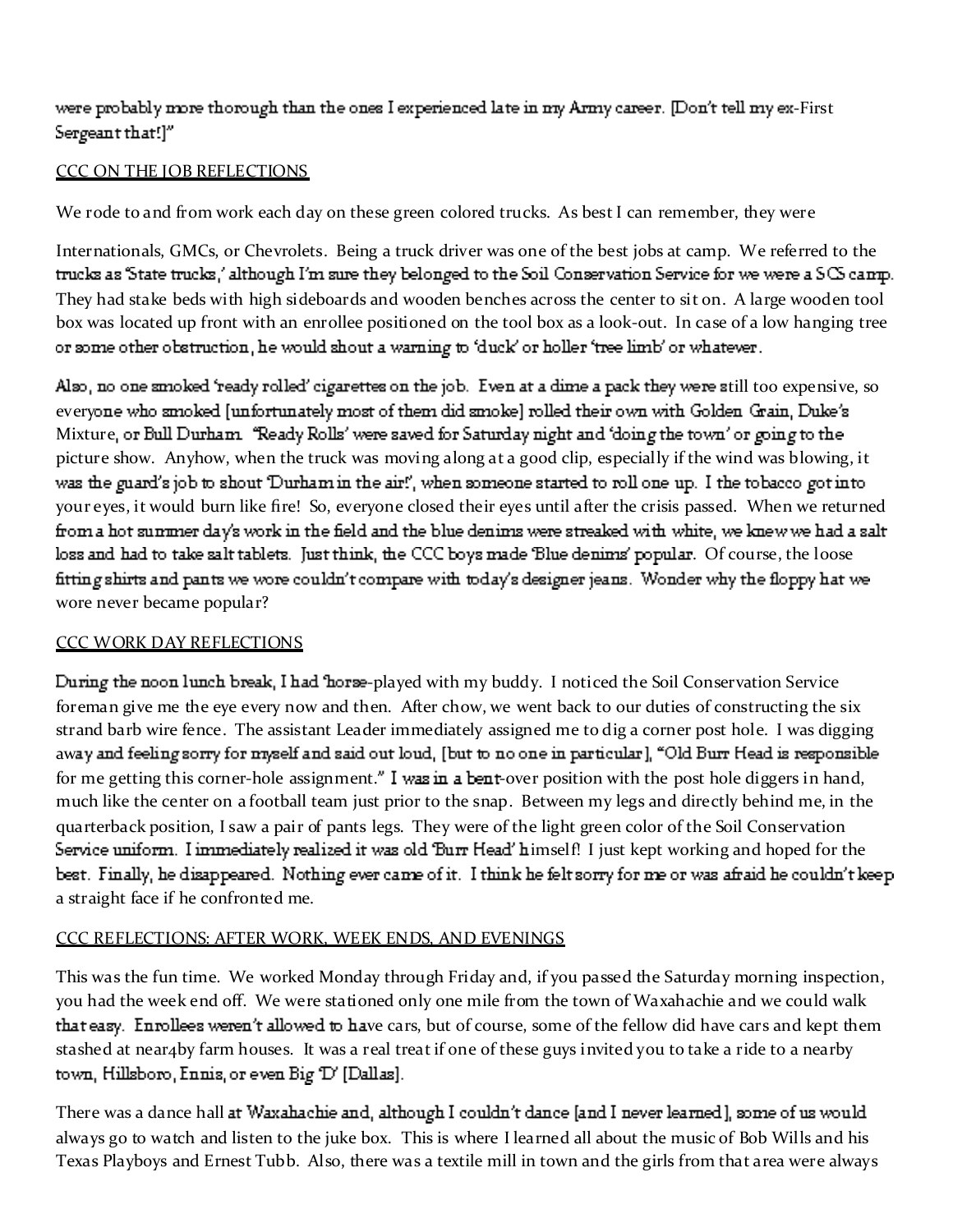were probably more thorough than the ones I experienced late in my Army career. [Don't tell my ex-First Sergeant that!]"

### CCC ON THE JOB REFLECTIONS

We rode to and from work each day on these green colored trucks. As best I can remember, they were

Internationals, GMCs, or Chevrolets. Being a truck driver was one of the best jobs at camp. We referred to the trucks as State trucks,' although I'm sure they belonged to the Soil Conservation Service for we were a SCS camp. They had stake beds with high sideboards and wooden benches across the center to sit on. A large wooden tool box was located up front with an enrollee positioned on the tool box as a look-out. In case of a low hanging tree or some other obstruction, he would shout a warning to 'duck' or holler 'tree limb' or whatever.

Also, no one smoked 'ready rolled' cigarettes on the job. Even at a dime a pack they were still too expensive, so everyone who smoked [unfortunately most of them did smoke] rolled their own with Golden Grain, Duke's Mixture, or Bull Durham "Ready Rolls' were saved for Saturday night and 'doing the town' or going to the picture show. Anyhow, when the truck was moving along at a good clip, especially if the wind was blowing, it was the guard's job to shout 'Durham in the air!', when someone started to roll one up. I the tobacco got into your eyes, it would burn like fire! So, everyone closed their eyes until after the crisis passed. When we returned from a hot summer day's work in the field and the blue denims were streaked with white, we knew we had a salt loss and had to take salt tablets. Just think, the CCC boys made 'Blue denims' popular. Of course, the loose fitting shirts and pants we wore couldn't compare with today's designer jeans. Wonder why the floppy hat we wore never became popular?

### CCC WORK DAY REFLECTIONS

During the noon lunch break, I had 'horse-played with my buddy. I noticed the Soil Conservation Service foreman give me the eye every now and then. After chow, we went back to our duties of constructing the six strand barb wire fence. The assistant Leader immediately assigned me to dig a corner post hole. I was digging away and feeling sorry for myself and said out loud, [but to no one in particular], "Old Burr Head is responsible for me getting this corner-hole assignment." I was in a bent-over position with the post hole diggers in hand, much like the center on a football team just prior to the snap. Between my legs and directly behind me, in the quarterback position, I saw a pair of pants legs. They were of the light green color of the Soil Conservation Service uniform. I immediately realized it was old 'Burr Head' himself! I just kept working and hoped for the best. Finally, he disappeared. Nothing ever came of it. I think he felt sorry for me or was afraid he couldn't keep a straight face if he confronted me.

# CCC REFLECTIONS: AFTER WORK, WEEK ENDS, AND EVENINGS

This was the fun time. We worked Monday through Friday and, if you passed the Saturday morning inspection, you had the week end off. We were stationed only one mile from the town of Waxahachie and we could walk that easy. Enrollees weren't allowed to have cars, but of course, some of the fellow did have cars and kept them stashed at near4by farm houses. It was a real treat if one of these guys invited you to take a ride to a nearby town, Hillsboro, Ennis, or even Big 'D' [Dallas].

There was a dance hall at Waxahachie and, although I couldn't dance [and I never learned], some of us would always go to watch and listen to the juke box. This is where I learned all about the music of Bob Wills and his Texas Playboys and Ernest Tubb. Also, there was a textile mill in town and the girls from that area were always